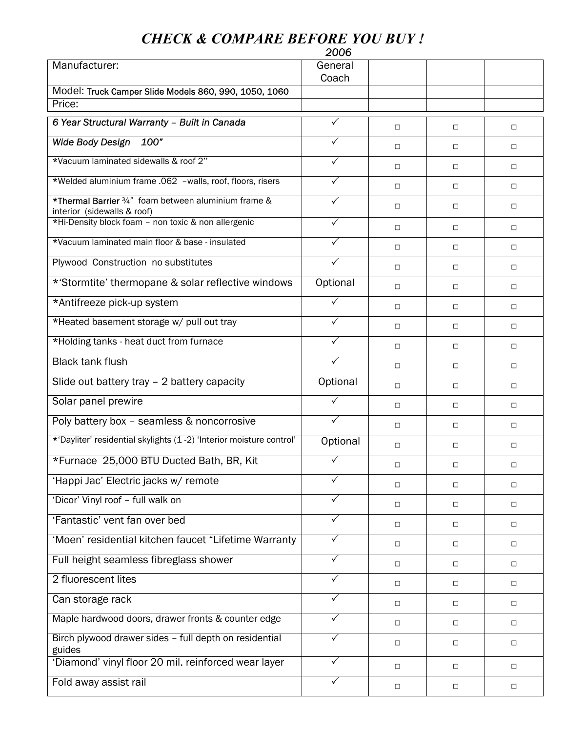## *CHECK & COMPARE BEFORE YOU BUY !*

|                                                                                     | 2006         |        |        |        |
|-------------------------------------------------------------------------------------|--------------|--------|--------|--------|
| Manufacturer:                                                                       | General      |        |        |        |
| Model: Truck Camper Slide Models 860, 990, 1050, 1060                               | Coach        |        |        |        |
| Price:                                                                              |              |        |        |        |
| 6 Year Structural Warranty - Built in Canada                                        | ✓            |        |        |        |
|                                                                                     |              | □      | $\Box$ | О      |
| <b>Wide Body Design</b><br>100"                                                     | ✓            | $\Box$ | $\Box$ | $\Box$ |
| *Vacuum laminated sidewalls & roof 2"                                               | $\checkmark$ | О      | $\Box$ | $\Box$ |
| *Welded aluminium frame .062 -walls, roof, floors, risers                           | $\checkmark$ | О      | $\Box$ | $\Box$ |
| *Thermal Barrier 3/4" foam between aluminium frame &<br>interior (sidewalls & roof) | $\checkmark$ | $\Box$ | $\Box$ | $\Box$ |
| *Hi-Density block foam - non toxic & non allergenic                                 | $\checkmark$ | О      | $\Box$ | $\Box$ |
| *Vacuum laminated main floor & base - insulated                                     | $\checkmark$ | О      | $\Box$ | $\Box$ |
| Plywood Construction no substitutes                                                 | $\checkmark$ | $\Box$ | $\Box$ | $\Box$ |
| *'Stormtite' thermopane & solar reflective windows                                  | Optional     | □      | $\Box$ | $\Box$ |
| *Antifreeze pick-up system                                                          | $\checkmark$ | □      | $\Box$ | $\Box$ |
| *Heated basement storage w/ pull out tray                                           | $\checkmark$ | $\Box$ | $\Box$ | $\Box$ |
| *Holding tanks - heat duct from furnace                                             | $\checkmark$ | $\Box$ | $\Box$ | $\Box$ |
| <b>Black tank flush</b>                                                             | $\checkmark$ | □      | $\Box$ | О      |
| Slide out battery tray - 2 battery capacity                                         | Optional     | О      | $\Box$ | $\Box$ |
| Solar panel prewire                                                                 | $\sqrt{}$    | $\Box$ | $\Box$ | $\Box$ |
| Poly battery box - seamless & noncorrosive                                          | $\checkmark$ | □      | $\Box$ | $\Box$ |
| *'Dayliter' residential skylights (1 -2) 'Interior moisture control'                | Optional     | □      | □      | $\Box$ |
| *Furnace 25,000 BTU Ducted Bath, BR, Kit                                            | $\checkmark$ | □      | $\Box$ | $\Box$ |
| 'Happi Jac' Electric jacks w/ remote                                                | $\checkmark$ | $\Box$ | $\Box$ | $\Box$ |
| 'Dicor' Vinyl roof - full walk on                                                   | $\checkmark$ | □      | $\Box$ | О      |
| 'Fantastic' vent fan over bed                                                       | ✓            | $\Box$ | $\Box$ | $\Box$ |
| 'Moen' residential kitchen faucet "Lifetime Warranty                                | $\checkmark$ | $\Box$ | $\Box$ | $\Box$ |
| Full height seamless fibreglass shower                                              | $\checkmark$ | О      | $\Box$ | $\Box$ |
| 2 fluorescent lites                                                                 | $\checkmark$ | $\Box$ | $\Box$ | $\Box$ |
| Can storage rack                                                                    | $\checkmark$ | □      | $\Box$ | $\Box$ |
| Maple hardwood doors, drawer fronts & counter edge                                  | $\checkmark$ | □      | $\Box$ | $\Box$ |
| Birch plywood drawer sides - full depth on residential<br>guides                    | $\checkmark$ | □      | О      | О      |
| 'Diamond' vinyl floor 20 mil. reinforced wear layer                                 | $\sqrt{}$    | $\Box$ | $\Box$ | $\Box$ |
| Fold away assist rail                                                               | $\checkmark$ | $\Box$ | $\Box$ | $\Box$ |